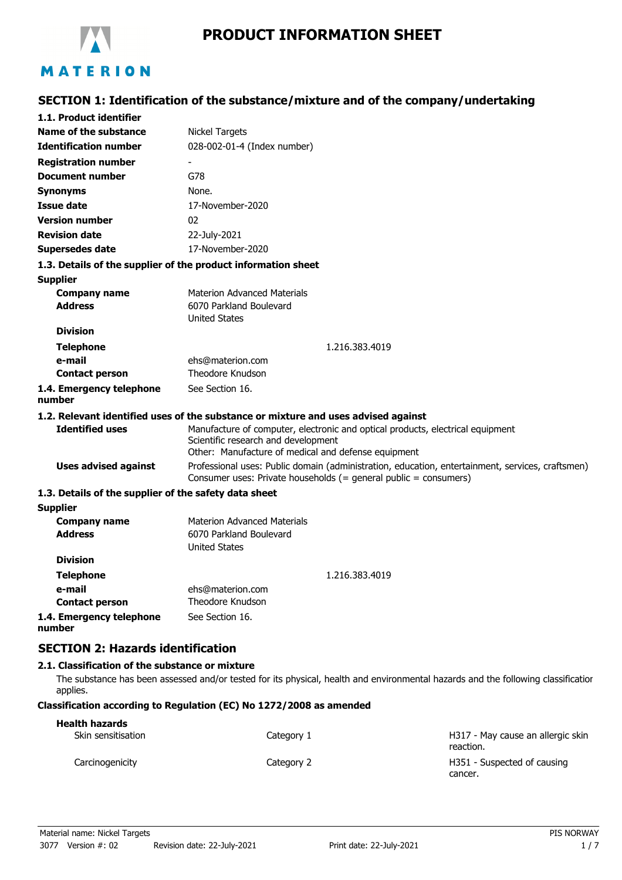

# **PRODUCT INFORMATION SHEET**

# **SECTION 1: Identification of the substance/mixture and of the company/undertaking**

| 1.1. Product identifier                               |                                                                                                                                                                      |  |
|-------------------------------------------------------|----------------------------------------------------------------------------------------------------------------------------------------------------------------------|--|
| Name of the substance                                 | Nickel Targets                                                                                                                                                       |  |
| <b>Identification number</b>                          | 028-002-01-4 (Index number)                                                                                                                                          |  |
| <b>Registration number</b>                            |                                                                                                                                                                      |  |
| <b>Document number</b>                                | G78                                                                                                                                                                  |  |
| <b>Synonyms</b>                                       | None.                                                                                                                                                                |  |
| Issue date                                            | 17-November-2020                                                                                                                                                     |  |
| <b>Version number</b>                                 | 02                                                                                                                                                                   |  |
| <b>Revision date</b>                                  | 22-July-2021                                                                                                                                                         |  |
| <b>Supersedes date</b>                                | 17-November-2020                                                                                                                                                     |  |
|                                                       | 1.3. Details of the supplier of the product information sheet                                                                                                        |  |
| <b>Supplier</b>                                       |                                                                                                                                                                      |  |
| <b>Company name</b>                                   | <b>Materion Advanced Materials</b>                                                                                                                                   |  |
| <b>Address</b>                                        | 6070 Parkland Boulevard                                                                                                                                              |  |
|                                                       | <b>United States</b>                                                                                                                                                 |  |
| <b>Division</b>                                       |                                                                                                                                                                      |  |
| <b>Telephone</b>                                      | 1.216.383.4019                                                                                                                                                       |  |
| e-mail                                                | ehs@materion.com<br>Theodore Knudson                                                                                                                                 |  |
| <b>Contact person</b>                                 |                                                                                                                                                                      |  |
| 1.4. Emergency telephone<br>number                    | See Section 16.                                                                                                                                                      |  |
|                                                       | 1.2. Relevant identified uses of the substance or mixture and uses advised against                                                                                   |  |
| <b>Identified uses</b>                                | Manufacture of computer, electronic and optical products, electrical equipment                                                                                       |  |
|                                                       | Scientific research and development                                                                                                                                  |  |
|                                                       | Other: Manufacture of medical and defense equipment                                                                                                                  |  |
| <b>Uses advised against</b>                           | Professional uses: Public domain (administration, education, entertainment, services, craftsmen)<br>Consumer uses: Private households (= general public = consumers) |  |
| 1.3. Details of the supplier of the safety data sheet |                                                                                                                                                                      |  |
| <b>Supplier</b>                                       |                                                                                                                                                                      |  |
| <b>Company name</b>                                   | <b>Materion Advanced Materials</b>                                                                                                                                   |  |
| <b>Address</b>                                        | 6070 Parkland Boulevard                                                                                                                                              |  |
|                                                       | <b>United States</b>                                                                                                                                                 |  |
| <b>Division</b>                                       |                                                                                                                                                                      |  |
| <b>Telephone</b>                                      | 1.216.383.4019                                                                                                                                                       |  |
| e-mail<br><b>Contact person</b>                       | ehs@materion.com<br><b>Theodore Knudson</b>                                                                                                                          |  |
| 1.4. Emergency telephone                              | See Section 16.                                                                                                                                                      |  |
|                                                       |                                                                                                                                                                      |  |

**number**

# **SECTION 2: Hazards identification**

### **2.1. Classification of the substance or mixture**

The substance has been assessed and/or tested for its physical, health and environmental hazards and the following classification applies.

## **Classification according to Regulation (EC) No 1272/2008 as amended**

| <b>Health hazards</b> |            |                                                |
|-----------------------|------------|------------------------------------------------|
| Skin sensitisation    | Category 1 | H317 - May cause an allergic skin<br>reaction. |
| Carcinogenicity       | Category 2 | H351 - Suspected of causing<br>cancer.         |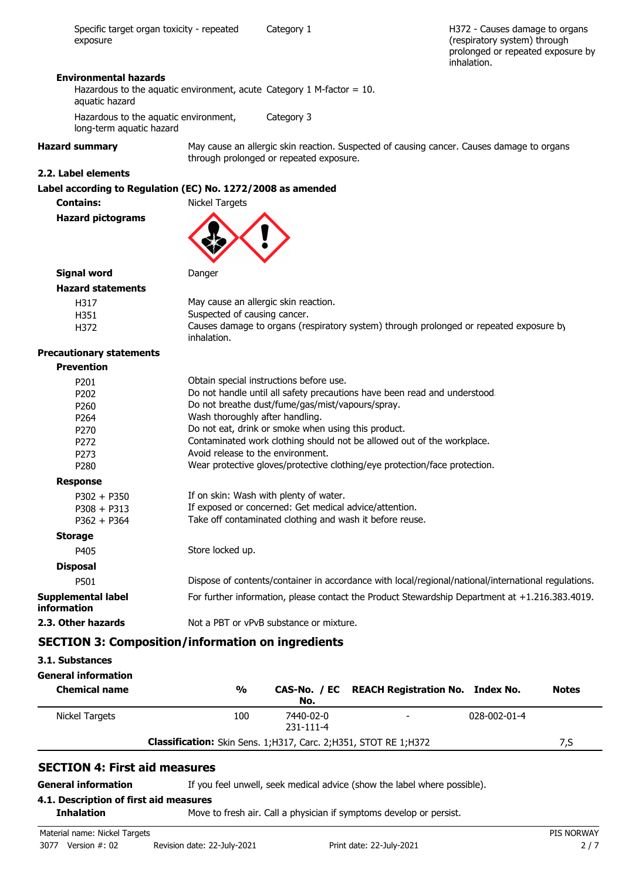H372 - Causes damage to organs (respiratory system) through prolonged or repeated exposure by inhalation.

#### **Environmental hazards**

Hazardous to the aquatic environment, acute Category 1 M-factor =  $10$ . aquatic hazard

Hazardous to the aquatic environment, Category 3 long-term aquatic hazard

**Hazard summary** May cause an allergic skin reaction. Suspected of causing cancer. Causes damage to organs through prolonged or repeated exposure.

#### **2.2. Label elements**

## **Label according to Regulation (EC) No. 1272/2008 as amended**

**Contains:** Nickel Targets **Hazard pictograms**



## **Signal word Danger Hazar**

| ard statements |                                                                                                       |
|----------------|-------------------------------------------------------------------------------------------------------|
| H317           | May cause an allergic skin reaction.                                                                  |
| H351           | Suspected of causing cancer.                                                                          |
| H372           | Causes damage to organs (respiratory system) through prolonged or repeated exposure by<br>inhalation. |

#### **Precautionary statements**

| <b>Precautionary statements</b>          |                                                                                                     |
|------------------------------------------|-----------------------------------------------------------------------------------------------------|
| <b>Prevention</b>                        |                                                                                                     |
| P <sub>201</sub>                         | Obtain special instructions before use.                                                             |
| P <sub>202</sub>                         | Do not handle until all safety precautions have been read and understood.                           |
| P <sub>260</sub>                         | Do not breathe dust/fume/gas/mist/vapours/spray.                                                    |
| P <sub>264</sub>                         | Wash thoroughly after handling.                                                                     |
| P <sub>270</sub>                         | Do not eat, drink or smoke when using this product.                                                 |
| P <sub>272</sub>                         | Contaminated work clothing should not be allowed out of the workplace.                              |
| P <sub>273</sub>                         | Avoid release to the environment.                                                                   |
| P <sub>280</sub>                         | Wear protective gloves/protective clothing/eye protection/face protection.                          |
| <b>Response</b>                          |                                                                                                     |
| $P302 + P350$                            | If on skin: Wash with plenty of water.                                                              |
| $P308 + P313$                            | If exposed or concerned: Get medical advice/attention.                                              |
| $P362 + P364$                            | Take off contaminated clothing and wash it before reuse.                                            |
| <b>Storage</b>                           |                                                                                                     |
| P405                                     | Store locked up.                                                                                    |
| <b>Disposal</b>                          |                                                                                                     |
| P501                                     | Dispose of contents/container in accordance with local/regional/national/international regulations. |
| <b>Supplemental label</b><br>information | For further information, please contact the Product Stewardship Department at +1.216.383.4019.      |
| 2.3. Other hazards                       | Not a PBT or vPvB substance or mixture.                                                             |
|                                          | <b>SECTION 3: Composition/information on ingredients</b>                                            |

#### **3.1. Substances**

| <b>General information</b> |
|----------------------------|
|                            |

| וטואווועוווווווווווווווווווד<br><b>Chemical name</b> | $\frac{0}{0}$                                                             | No.                          | CAS-No. / EC REACH Registration No. Index No. |              | <b>Notes</b> |
|------------------------------------------------------|---------------------------------------------------------------------------|------------------------------|-----------------------------------------------|--------------|--------------|
| Nickel Targets                                       | 100                                                                       | 7440-02-0<br>$231 - 111 - 4$ | $\overline{\phantom{a}}$                      | 028-002-01-4 |              |
|                                                      | <b>Classification:</b> Skin Sens. 1; H317, Carc. 2; H351, STOT RE 1; H372 |                              |                                               |              | 7,S          |

## **SECTION 4: First aid measures**

**General information** If you feel unwell, seek medical advice (show the label where possible).

# **4.1. Description of first aid measures**

**Inhalation** Move to fresh air. Call a physician if symptoms develop or persist.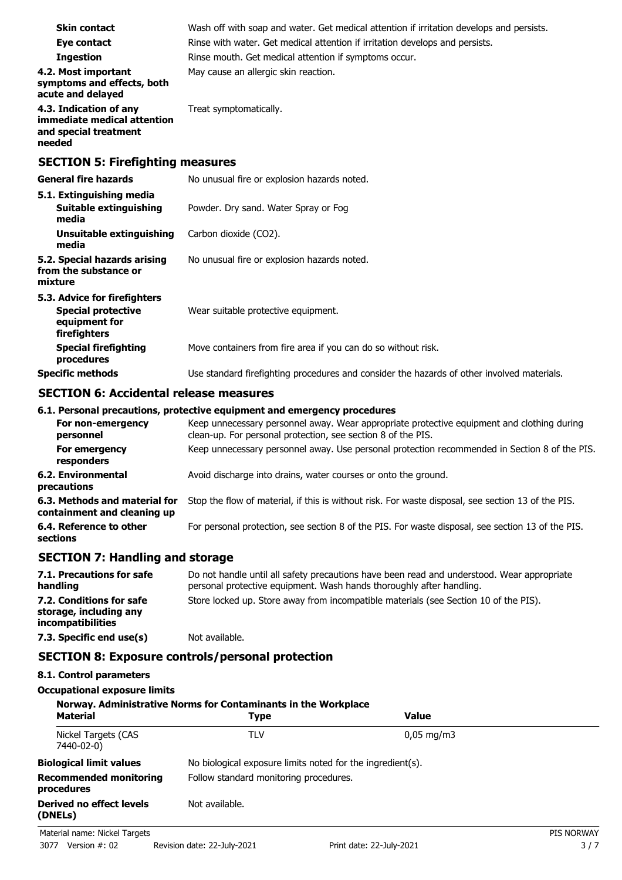| <b>Skin contact</b>                                                                        | Wash off with soap and water. Get medical attention if irritation develops and persists.   |  |
|--------------------------------------------------------------------------------------------|--------------------------------------------------------------------------------------------|--|
| Eye contact                                                                                | Rinse with water. Get medical attention if irritation develops and persists.               |  |
| <b>Ingestion</b>                                                                           | Rinse mouth. Get medical attention if symptoms occur.                                      |  |
| 4.2. Most important<br>symptoms and effects, both<br>acute and delayed                     | May cause an allergic skin reaction.                                                       |  |
| 4.3. Indication of any<br>immediate medical attention<br>and special treatment<br>needed   | Treat symptomatically.                                                                     |  |
| <b>SECTION 5: Firefighting measures</b>                                                    |                                                                                            |  |
| <b>General fire hazards</b>                                                                | No unusual fire or explosion hazards noted.                                                |  |
| 5.1. Extinguishing media<br><b>Suitable extinguishing</b><br>media                         | Powder. Dry sand. Water Spray or Fog                                                       |  |
| <b>Unsuitable extinguishing</b><br>media                                                   | Carbon dioxide (CO2).                                                                      |  |
| 5.2. Special hazards arising<br>from the substance or<br>mixture                           | No unusual fire or explosion hazards noted.                                                |  |
| 5.3. Advice for firefighters<br><b>Special protective</b><br>equipment for<br>firefighters | Wear suitable protective equipment.                                                        |  |
| <b>Special firefighting</b><br>procedures                                                  | Move containers from fire area if you can do so without risk.                              |  |
| <b>Specific methods</b>                                                                    | Use standard firefighting procedures and consider the hazards of other involved materials. |  |

## **SECTION 6: Accidental release measures**

## **6.1. Personal precautions, protective equipment and emergency procedures**

| For non-emergency<br>personnel                               | Keep unnecessary personnel away. Wear appropriate protective equipment and clothing during<br>clean-up. For personal protection, see section 8 of the PIS. |
|--------------------------------------------------------------|------------------------------------------------------------------------------------------------------------------------------------------------------------|
| For emergency<br>responders                                  | Keep unnecessary personnel away. Use personal protection recommended in Section 8 of the PIS.                                                              |
| <b>6.2. Environmental</b><br>precautions                     | Avoid discharge into drains, water courses or onto the ground.                                                                                             |
| 6.3. Methods and material for<br>containment and cleaning up | Stop the flow of material, if this is without risk. For waste disposal, see section 13 of the PIS.                                                         |
| 6.4. Reference to other<br>sections                          | For personal protection, see section 8 of the PIS. For waste disposal, see section 13 of the PIS.                                                          |
|                                                              |                                                                                                                                                            |

# **SECTION 7: Handling and storage**

| 7.1. Precautions for safe<br>handling                                   | Do not handle until all safety precautions have been read and understood. Wear appropriate<br>personal protective equipment. Wash hands thoroughly after handling. |
|-------------------------------------------------------------------------|--------------------------------------------------------------------------------------------------------------------------------------------------------------------|
| 7.2. Conditions for safe<br>storage, including any<br>incompatibilities | Store locked up. Store away from incompatible materials (see Section 10 of the PIS).                                                                               |
| 7.3. Specific end use(s)                                                | Not available.                                                                                                                                                     |

# **SECTION 8: Exposure controls/personal protection**

## **8.1. Control parameters**

**Occupational exposure limits**

| Norway. Administrative Norms for Contaminants in the Workplace |                                                            |                          |                   |
|----------------------------------------------------------------|------------------------------------------------------------|--------------------------|-------------------|
| <b>Material</b>                                                | Type                                                       | <b>Value</b>             |                   |
| Nickel Targets (CAS<br>7440-02-0)                              | TLV                                                        | $0.05 \,\mathrm{mq/m}$ 3 |                   |
| <b>Biological limit values</b>                                 | No biological exposure limits noted for the ingredient(s). |                          |                   |
| <b>Recommended monitoring</b><br>procedures                    | Follow standard monitoring procedures.                     |                          |                   |
| Derived no effect levels<br>(DNELs)                            | Not available.                                             |                          |                   |
| Material name: Nickel Targets                                  |                                                            |                          | <b>PIS NORWAY</b> |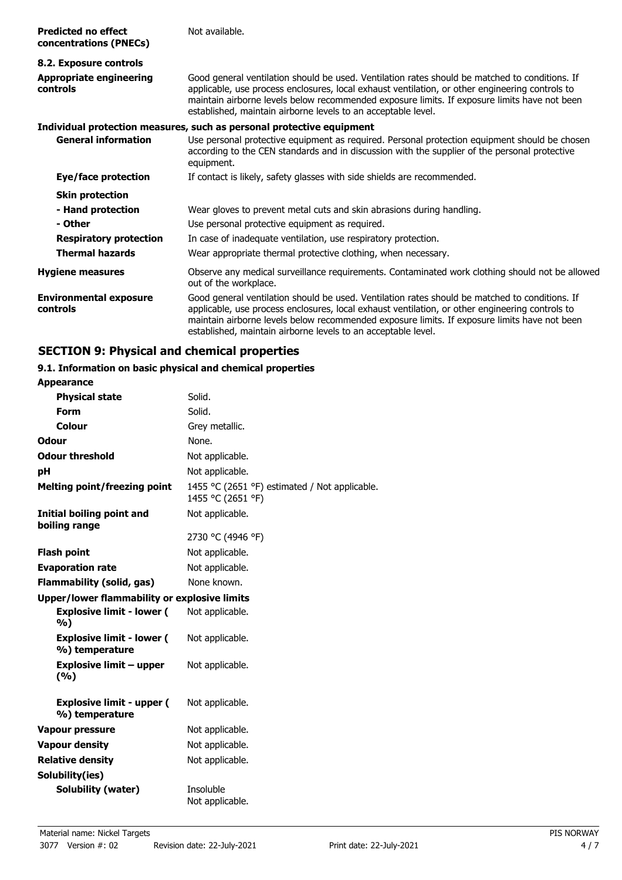| <b>Predicted no effect</b><br>concentrations (PNECs) | Not available.                                                                                                                                                                                                                                                                                                                                                     |  |
|------------------------------------------------------|--------------------------------------------------------------------------------------------------------------------------------------------------------------------------------------------------------------------------------------------------------------------------------------------------------------------------------------------------------------------|--|
| 8.2. Exposure controls                               |                                                                                                                                                                                                                                                                                                                                                                    |  |
| <b>Appropriate engineering</b><br>controls           | Good general ventilation should be used. Ventilation rates should be matched to conditions. If<br>applicable, use process enclosures, local exhaust ventilation, or other engineering controls to<br>maintain airborne levels below recommended exposure limits. If exposure limits have not been<br>established, maintain airborne levels to an acceptable level. |  |
|                                                      | Individual protection measures, such as personal protective equipment                                                                                                                                                                                                                                                                                              |  |
| <b>General information</b>                           | Use personal protective equipment as required. Personal protection equipment should be chosen<br>according to the CEN standards and in discussion with the supplier of the personal protective<br>equipment.                                                                                                                                                       |  |
| Eye/face protection                                  | If contact is likely, safety glasses with side shields are recommended.                                                                                                                                                                                                                                                                                            |  |
| <b>Skin protection</b>                               |                                                                                                                                                                                                                                                                                                                                                                    |  |
| - Hand protection                                    | Wear gloves to prevent metal cuts and skin abrasions during handling.                                                                                                                                                                                                                                                                                              |  |
| - Other                                              | Use personal protective equipment as required.                                                                                                                                                                                                                                                                                                                     |  |
| <b>Respiratory protection</b>                        | In case of inadequate ventilation, use respiratory protection.                                                                                                                                                                                                                                                                                                     |  |
| <b>Thermal hazards</b>                               | Wear appropriate thermal protective clothing, when necessary.                                                                                                                                                                                                                                                                                                      |  |
| <b>Hygiene measures</b>                              | Observe any medical surveillance requirements. Contaminated work clothing should not be allowed<br>out of the workplace.                                                                                                                                                                                                                                           |  |
| <b>Environmental exposure</b><br>controls            | Good general ventilation should be used. Ventilation rates should be matched to conditions. If<br>applicable, use process enclosures, local exhaust ventilation, or other engineering controls to<br>maintain airborne levels below recommended exposure limits. If exposure limits have not been<br>established, maintain airborne levels to an acceptable level. |  |

# **SECTION 9: Physical and chemical properties**

## **9.1. Information on basic physical and chemical properties**

| <b>Appearance</b>                                  |                                                                    |
|----------------------------------------------------|--------------------------------------------------------------------|
| <b>Physical state</b>                              | Solid.                                                             |
| <b>Form</b>                                        | Solid.                                                             |
| Colour                                             | Grey metallic.                                                     |
| Odour                                              | None.                                                              |
| <b>Odour threshold</b>                             | Not applicable.                                                    |
| pH                                                 | Not applicable.                                                    |
| <b>Melting point/freezing point</b>                | 1455 °C (2651 °F) estimated / Not applicable.<br>1455 °C (2651 °F) |
| <b>Initial boiling point and</b><br>boiling range  | Not applicable.                                                    |
|                                                    | 2730 °C (4946 °F)                                                  |
| <b>Flash point</b>                                 | Not applicable.                                                    |
| <b>Evaporation rate</b>                            | Not applicable.                                                    |
| Flammability (solid, gas)                          | None known.                                                        |
| Upper/lower flammability or explosive limits       |                                                                    |
| <b>Explosive limit - lower (</b><br>%)             | Not applicable.                                                    |
| <b>Explosive limit - lower (</b><br>%) temperature | Not applicable.                                                    |
| <b>Explosive limit - upper</b><br>(%)              | Not applicable.                                                    |
| <b>Explosive limit - upper (</b><br>%) temperature | Not applicable.                                                    |
| Vapour pressure                                    | Not applicable.                                                    |
| <b>Vapour density</b>                              | Not applicable.                                                    |
| <b>Relative density</b>                            | Not applicable.                                                    |
| Solubility(ies)                                    |                                                                    |
| <b>Solubility (water)</b>                          | Insoluble<br>Not applicable.                                       |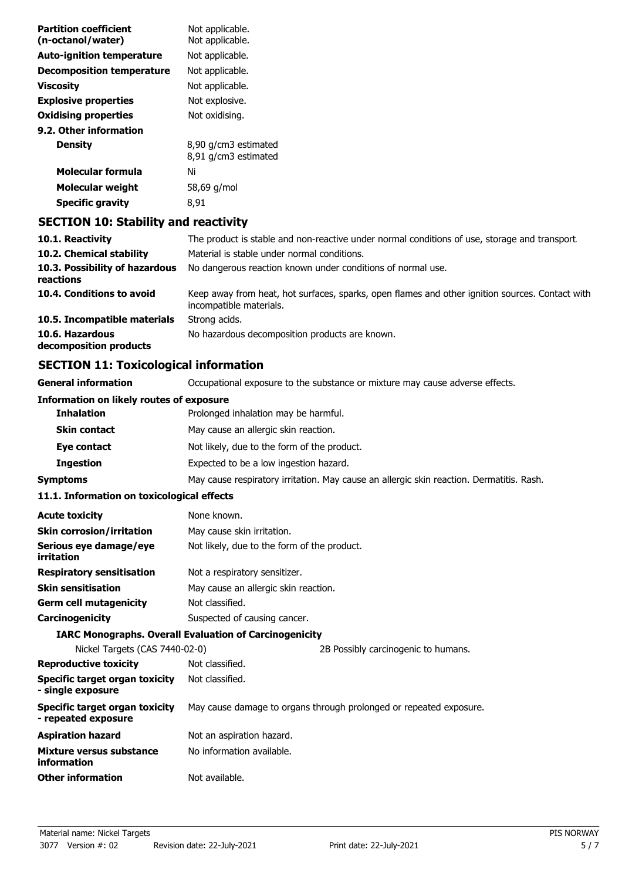| <b>Partition coefficient</b><br>(n-octanol/water) | Not applicable.<br>Not applicable.                                                                                         |  |  |
|---------------------------------------------------|----------------------------------------------------------------------------------------------------------------------------|--|--|
| <b>Auto-ignition temperature</b>                  | Not applicable.                                                                                                            |  |  |
| <b>Decomposition temperature</b>                  | Not applicable.                                                                                                            |  |  |
| <b>Viscosity</b>                                  | Not applicable.                                                                                                            |  |  |
| <b>Explosive properties</b>                       | Not explosive.                                                                                                             |  |  |
| <b>Oxidising properties</b>                       | Not oxidising.                                                                                                             |  |  |
| 9.2. Other information                            |                                                                                                                            |  |  |
| <b>Density</b>                                    | 8,90 g/cm3 estimated                                                                                                       |  |  |
|                                                   | 8,91 g/cm3 estimated                                                                                                       |  |  |
| <b>Molecular formula</b>                          | Ni                                                                                                                         |  |  |
| <b>Molecular weight</b>                           | 58,69 g/mol                                                                                                                |  |  |
| <b>Specific gravity</b>                           | 8,91                                                                                                                       |  |  |
| <b>SECTION 10: Stability and reactivity</b>       |                                                                                                                            |  |  |
| 10.1. Reactivity                                  | The product is stable and non-reactive under normal conditions of use, storage and transport.                              |  |  |
| 10.2. Chemical stability                          | Material is stable under normal conditions.                                                                                |  |  |
| 10.3. Possibility of hazardous<br>reactions       | No dangerous reaction known under conditions of normal use.                                                                |  |  |
| 10.4. Conditions to avoid                         | Keep away from heat, hot surfaces, sparks, open flames and other ignition sources. Contact with<br>incompatible materials. |  |  |
| 10.5. Incompatible materials                      | Strong acids.                                                                                                              |  |  |
| 10.6 Hazardous                                    | No hazardous decomposition products are known                                                                              |  |  |

**10.6. Hazardous 10.6. No hazardous decomposition products are known. decomposition products**

# **SECTION 11: Toxicological information**

**General information CCCUPATION** Occupational exposure to the substance or mixture may cause adverse effects.

| Information on likely routes of exposure                     |                                                                                          |  |  |
|--------------------------------------------------------------|------------------------------------------------------------------------------------------|--|--|
| <b>Inhalation</b>                                            | Prolonged inhalation may be harmful.                                                     |  |  |
| <b>Skin contact</b>                                          | May cause an allergic skin reaction.                                                     |  |  |
| Eye contact                                                  | Not likely, due to the form of the product.                                              |  |  |
| <b>Ingestion</b>                                             | Expected to be a low ingestion hazard.                                                   |  |  |
| <b>Symptoms</b>                                              | May cause respiratory irritation. May cause an allergic skin reaction. Dermatitis. Rash. |  |  |
| 11.1. Information on toxicological effects                   |                                                                                          |  |  |
| <b>Acute toxicity</b>                                        | None known.                                                                              |  |  |
| <b>Skin corrosion/irritation</b>                             | May cause skin irritation.                                                               |  |  |
| Serious eye damage/eye<br>irritation                         | Not likely, due to the form of the product.                                              |  |  |
| <b>Respiratory sensitisation</b>                             | Not a respiratory sensitizer.                                                            |  |  |
| <b>Skin sensitisation</b>                                    | May cause an allergic skin reaction.                                                     |  |  |
| <b>Germ cell mutagenicity</b>                                | Not classified.                                                                          |  |  |
| Carcinogenicity                                              | Suspected of causing cancer.                                                             |  |  |
|                                                              | <b>IARC Monographs. Overall Evaluation of Carcinogenicity</b>                            |  |  |
| Nickel Targets (CAS 7440-02-0)                               | 2B Possibly carcinogenic to humans.                                                      |  |  |
| <b>Reproductive toxicity</b>                                 | Not classified.                                                                          |  |  |
| <b>Specific target organ toxicity</b><br>- single exposure   | Not classified.                                                                          |  |  |
| <b>Specific target organ toxicity</b><br>- repeated exposure | May cause damage to organs through prolonged or repeated exposure.                       |  |  |
| <b>Aspiration hazard</b>                                     | Not an aspiration hazard.                                                                |  |  |
| Mixture versus substance<br>information                      | No information available.                                                                |  |  |
| <b>Other information</b>                                     | Not available.                                                                           |  |  |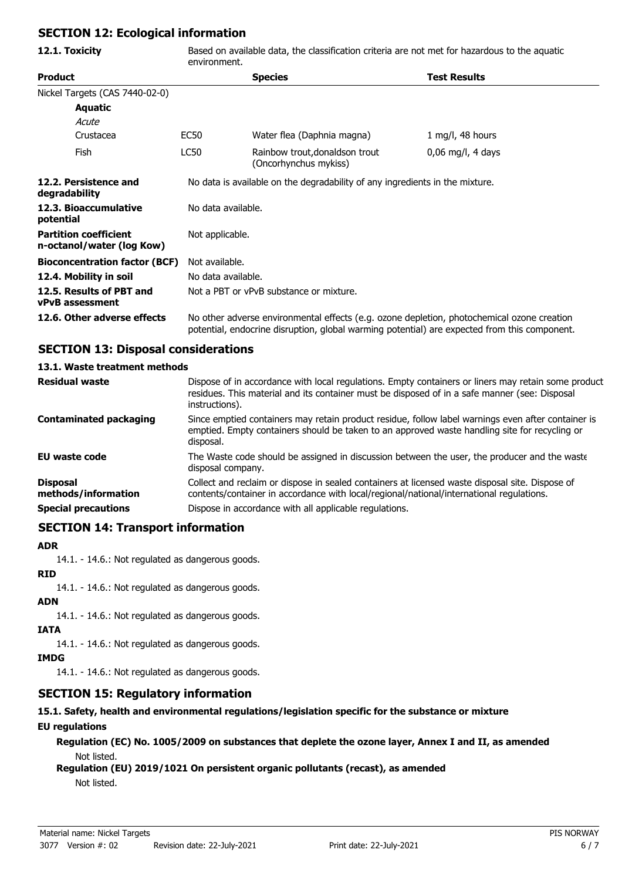# **SECTION 12: Ecological information**

| 12.1. Toxicity                                            | Based on available data, the classification criteria are not met for hazardous to the aquatic<br>environment.                                                                              |                                                         |                     |  |
|-----------------------------------------------------------|--------------------------------------------------------------------------------------------------------------------------------------------------------------------------------------------|---------------------------------------------------------|---------------------|--|
| <b>Product</b>                                            |                                                                                                                                                                                            | <b>Species</b>                                          | <b>Test Results</b> |  |
| Nickel Targets (CAS 7440-02-0)                            |                                                                                                                                                                                            |                                                         |                     |  |
| <b>Aquatic</b>                                            |                                                                                                                                                                                            |                                                         |                     |  |
| Acute                                                     |                                                                                                                                                                                            |                                                         |                     |  |
| Crustacea                                                 | EC50                                                                                                                                                                                       | Water flea (Daphnia magna)                              | 1 mg/l, 48 hours    |  |
| Fish                                                      | <b>LC50</b>                                                                                                                                                                                | Rainbow trout, donaldson trout<br>(Oncorhynchus mykiss) | $0,06$ mg/l, 4 days |  |
| 12.2. Persistence and<br>degradability                    | No data is available on the degradability of any ingredients in the mixture.                                                                                                               |                                                         |                     |  |
| 12.3. Bioaccumulative<br>potential                        |                                                                                                                                                                                            | No data available.                                      |                     |  |
| <b>Partition coefficient</b><br>n-octanol/water (log Kow) |                                                                                                                                                                                            | Not applicable.                                         |                     |  |
| <b>Bioconcentration factor (BCF)</b>                      |                                                                                                                                                                                            | Not available.                                          |                     |  |
| 12.4. Mobility in soil                                    |                                                                                                                                                                                            | No data available.                                      |                     |  |
| 12.5. Results of PBT and<br><b>vPvB</b> assessment        |                                                                                                                                                                                            | Not a PBT or vPvB substance or mixture.                 |                     |  |
| 12.6. Other adverse effects                               | No other adverse environmental effects (e.g. ozone depletion, photochemical ozone creation<br>potential, endocrine disruption, global warming potential) are expected from this component. |                                                         |                     |  |

# **SECTION 13: Disposal considerations**

## **13.1. Waste treatment methods**

| <b>Residual waste</b>                  | Dispose of in accordance with local regulations. Empty containers or liners may retain some product<br>residues. This material and its container must be disposed of in a safe manner (see: Disposal<br>instructions). |
|----------------------------------------|------------------------------------------------------------------------------------------------------------------------------------------------------------------------------------------------------------------------|
| <b>Contaminated packaging</b>          | Since emptied containers may retain product residue, follow label warnings even after container is<br>emptied. Empty containers should be taken to an approved waste handling site for recycling or<br>disposal.       |
| EU waste code                          | The Waste code should be assigned in discussion between the user, the producer and the waste<br>disposal company.                                                                                                      |
| <b>Disposal</b><br>methods/information | Collect and reclaim or dispose in sealed containers at licensed waste disposal site. Dispose of<br>contents/container in accordance with local/regional/national/international regulations.                            |
| <b>Special precautions</b>             | Dispose in accordance with all applicable regulations.                                                                                                                                                                 |

# **SECTION 14: Transport information**

## **ADR**

14.1. - 14.6.: Not regulated as dangerous goods.

## **RID**

14.1. - 14.6.: Not regulated as dangerous goods.

## **ADN**

14.1. - 14.6.: Not regulated as dangerous goods.

### **IATA**

14.1. - 14.6.: Not regulated as dangerous goods.

## **IMDG**

14.1. - 14.6.: Not regulated as dangerous goods.

# **SECTION 15: Regulatory information**

## **15.1. Safety, health and environmental regulations/legislation specific for the substance or mixture**

## **EU regulations**

**Regulation (EC) No. 1005/2009 on substances that deplete the ozone layer, Annex I and II, as amended** Not listed.

## **Regulation (EU) 2019/1021 On persistent organic pollutants (recast), as amended**

Not listed.